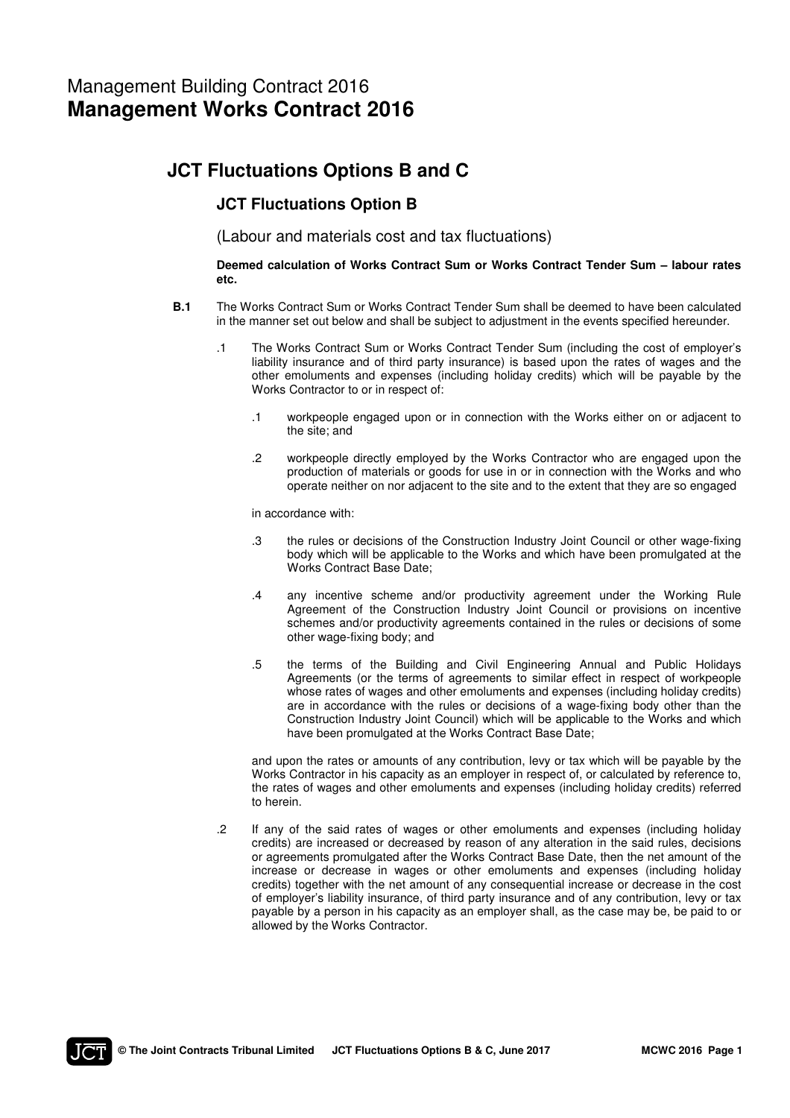# **JCT Fluctuations Options B and C**

# **JCT Fluctuations Option B**

(Labour and materials cost and tax fluctuations)

## **Deemed calculation of Works Contract Sum or Works Contract Tender Sum – labour rates etc.**

- **B.1** The Works Contract Sum or Works Contract Tender Sum shall be deemed to have been calculated in the manner set out below and shall be subject to adjustment in the events specified hereunder.
	- .1 The Works Contract Sum or Works Contract Tender Sum (including the cost of employer's liability insurance and of third party insurance) is based upon the rates of wages and the other emoluments and expenses (including holiday credits) which will be payable by the Works Contractor to or in respect of:
		- .1 workpeople engaged upon or in connection with the Works either on or adjacent to the site; and
		- .2 workpeople directly employed by the Works Contractor who are engaged upon the production of materials or goods for use in or in connection with the Works and who operate neither on nor adjacent to the site and to the extent that they are so engaged

in accordance with:

- .3 the rules or decisions of the Construction Industry Joint Council or other wage-fixing body which will be applicable to the Works and which have been promulgated at the Works Contract Base Date;
- .4 any incentive scheme and/or productivity agreement under the Working Rule Agreement of the Construction Industry Joint Council or provisions on incentive schemes and/or productivity agreements contained in the rules or decisions of some other wage-fixing body; and
- .5 the terms of the Building and Civil Engineering Annual and Public Holidays Agreements (or the terms of agreements to similar effect in respect of workpeople whose rates of wages and other emoluments and expenses (including holiday credits) are in accordance with the rules or decisions of a wage-fixing body other than the Construction Industry Joint Council) which will be applicable to the Works and which have been promulgated at the Works Contract Base Date;

 and upon the rates or amounts of any contribution, levy or tax which will be payable by the Works Contractor in his capacity as an employer in respect of, or calculated by reference to, the rates of wages and other emoluments and expenses (including holiday credits) referred to herein.

 .2 If any of the said rates of wages or other emoluments and expenses (including holiday credits) are increased or decreased by reason of any alteration in the said rules, decisions or agreements promulgated after the Works Contract Base Date, then the net amount of the increase or decrease in wages or other emoluments and expenses (including holiday credits) together with the net amount of any consequential increase or decrease in the cost of employer's liability insurance, of third party insurance and of any contribution, levy or tax payable by a person in his capacity as an employer shall, as the case may be, be paid to or allowed by the Works Contractor.

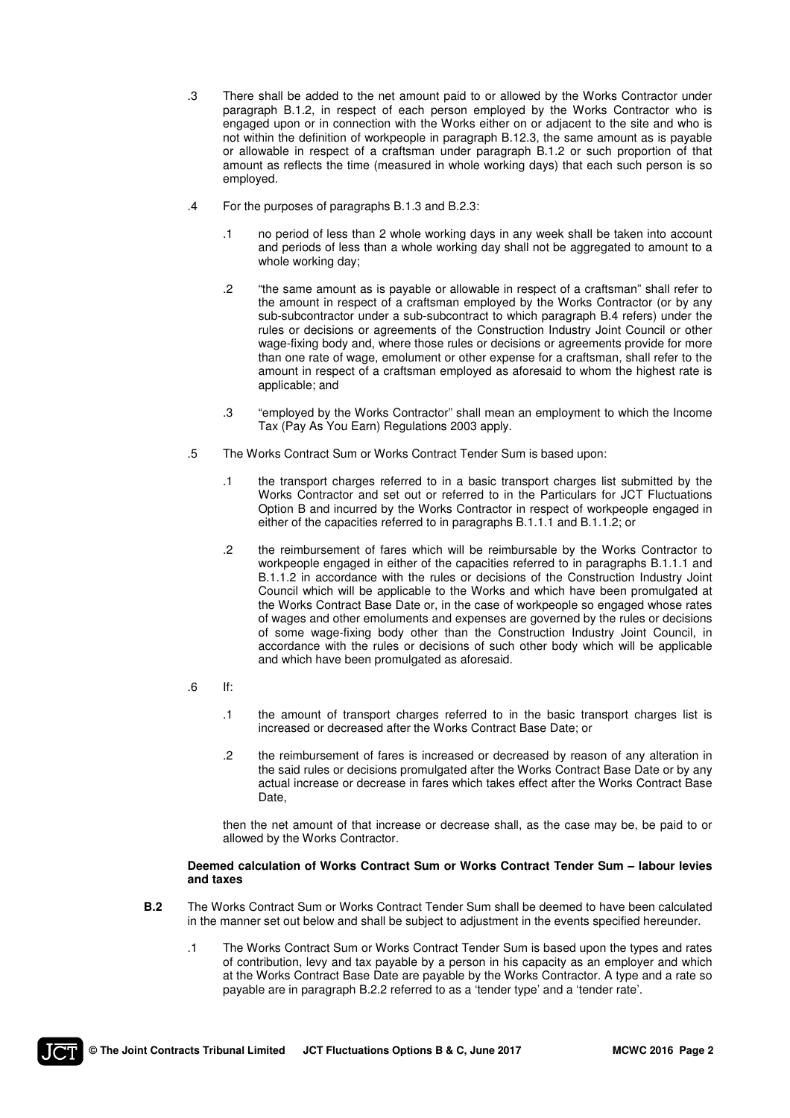- .3 There shall be added to the net amount paid to or allowed by the Works Contractor under paragraph B.1.2, in respect of each person employed by the Works Contractor who is engaged upon or in connection with the Works either on or adjacent to the site and who is not within the definition of workpeople in paragraph B.12.3, the same amount as is payable or allowable in respect of a craftsman under paragraph B.1.2 or such proportion of that amount as reflects the time (measured in whole working days) that each such person is so employed.
- .4 For the purposes of paragraphs B.1.3 and B.2.3:
	- .1 no period of less than 2 whole working days in any week shall be taken into account and periods of less than a whole working day shall not be aggregated to amount to a whole working day;
	- .2 "the same amount as is payable or allowable in respect of a craftsman" shall refer to the amount in respect of a craftsman employed by the Works Contractor (or by any sub-subcontractor under a sub-subcontract to which paragraph B.4 refers) under the rules or decisions or agreements of the Construction Industry Joint Council or other wage-fixing body and, where those rules or decisions or agreements provide for more than one rate of wage, emolument or other expense for a craftsman, shall refer to the amount in respect of a craftsman employed as aforesaid to whom the highest rate is applicable; and
	- .3 "employed by the Works Contractor" shall mean an employment to which the Income Tax (Pay As You Earn) Regulations 2003 apply.
- .5 The Works Contract Sum or Works Contract Tender Sum is based upon:
	- .1 the transport charges referred to in a basic transport charges list submitted by the Works Contractor and set out or referred to in the Particulars for JCT Fluctuations Option B and incurred by the Works Contractor in respect of workpeople engaged in either of the capacities referred to in paragraphs B.1.1.1 and B.1.1.2; or
	- .2 the reimbursement of fares which will be reimbursable by the Works Contractor to workpeople engaged in either of the capacities referred to in paragraphs B.1.1.1 and B.1.1.2 in accordance with the rules or decisions of the Construction Industry Joint Council which will be applicable to the Works and which have been promulgated at the Works Contract Base Date or, in the case of workpeople so engaged whose rates of wages and other emoluments and expenses are governed by the rules or decisions of some wage-fixing body other than the Construction Industry Joint Council, in accordance with the rules or decisions of such other body which will be applicable and which have been promulgated as aforesaid.
- $\blacksquare$ .6 If:
	- .1 the amount of transport charges referred to in the basic transport charges list is increased or decreased after the Works Contract Base Date; or
	- .2 the reimbursement of fares is increased or decreased by reason of any alteration in the said rules or decisions promulgated after the Works Contract Base Date or by any actual increase or decrease in fares which takes effect after the Works Contract Base Date,

 then the net amount of that increase or decrease shall, as the case may be, be paid to or allowed by the Works Contractor.

### **Deemed calculation of Works Contract Sum or Works Contract Tender Sum – labour levies and taxes**

- **B.2** The Works Contract Sum or Works Contract Tender Sum shall be deemed to have been calculated in the manner set out below and shall be subject to adjustment in the events specified hereunder.
	- .1 The Works Contract Sum or Works Contract Tender Sum is based upon the types and rates of contribution, levy and tax payable by a person in his capacity as an employer and which at the Works Contract Base Date are payable by the Works Contractor. A type and a rate so payable are in paragraph B.2.2 referred to as a 'tender type' and a 'tender rate'.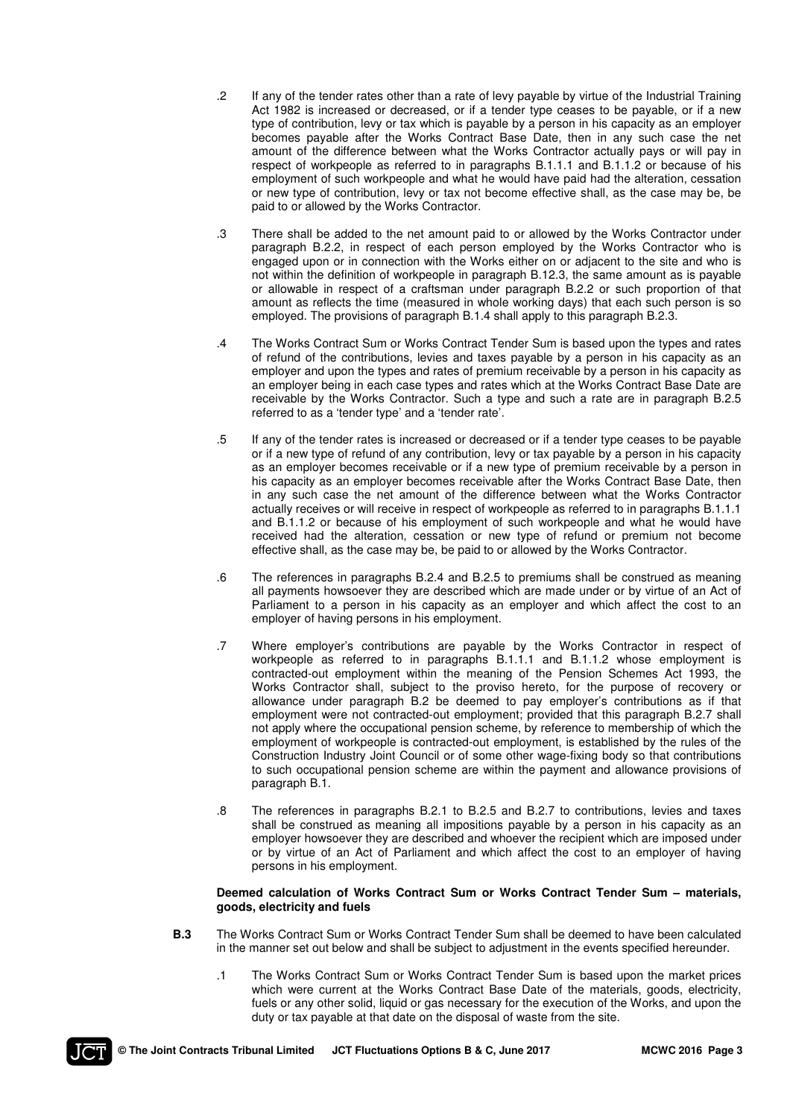- .2 If any of the tender rates other than a rate of levy payable by virtue of the Industrial Training Act 1982 is increased or decreased, or if a tender type ceases to be payable, or if a new type of contribution, levy or tax which is payable by a person in his capacity as an employer becomes payable after the Works Contract Base Date, then in any such case the net amount of the difference between what the Works Contractor actually pays or will pay in respect of workpeople as referred to in paragraphs B.1.1.1 and B.1.1.2 or because of his employment of such workpeople and what he would have paid had the alteration, cessation or new type of contribution, levy or tax not become effective shall, as the case may be, be paid to or allowed by the Works Contractor.
- .3 There shall be added to the net amount paid to or allowed by the Works Contractor under paragraph B.2.2, in respect of each person employed by the Works Contractor who is engaged upon or in connection with the Works either on or adjacent to the site and who is not within the definition of workpeople in paragraph B.12.3, the same amount as is payable or allowable in respect of a craftsman under paragraph B.2.2 or such proportion of that amount as reflects the time (measured in whole working days) that each such person is so employed. The provisions of paragraph B.1.4 shall apply to this paragraph B.2.3.
- .4 The Works Contract Sum or Works Contract Tender Sum is based upon the types and rates of refund of the contributions, levies and taxes payable by a person in his capacity as an employer and upon the types and rates of premium receivable by a person in his capacity as an employer being in each case types and rates which at the Works Contract Base Date are receivable by the Works Contractor. Such a type and such a rate are in paragraph B.2.5 referred to as a 'tender type' and a 'tender rate'.
- .5 If any of the tender rates is increased or decreased or if a tender type ceases to be payable or if a new type of refund of any contribution, levy or tax payable by a person in his capacity as an employer becomes receivable or if a new type of premium receivable by a person in his capacity as an employer becomes receivable after the Works Contract Base Date, then in any such case the net amount of the difference between what the Works Contractor actually receives or will receive in respect of workpeople as referred to in paragraphs B.1.1.1 and B.1.1.2 or because of his employment of such workpeople and what he would have received had the alteration, cessation or new type of refund or premium not become effective shall, as the case may be, be paid to or allowed by the Works Contractor.
- .6 The references in paragraphs B.2.4 and B.2.5 to premiums shall be construed as meaning all payments howsoever they are described which are made under or by virtue of an Act of Parliament to a person in his capacity as an employer and which affect the cost to an employer of having persons in his employment.
- .7 Where employer's contributions are payable by the Works Contractor in respect of workpeople as referred to in paragraphs B.1.1.1 and B.1.1.2 whose employment is contracted-out employment within the meaning of the Pension Schemes Act 1993, the Works Contractor shall, subject to the proviso hereto, for the purpose of recovery or allowance under paragraph B.2 be deemed to pay employer's contributions as if that employment were not contracted-out employment; provided that this paragraph B.2.7 shall not apply where the occupational pension scheme, by reference to membership of which the employment of workpeople is contracted-out employment, is established by the rules of the Construction Industry Joint Council or of some other wage-fixing body so that contributions to such occupational pension scheme are within the payment and allowance provisions of paragraph B.1.
- .8 The references in paragraphs B.2.1 to B.2.5 and B.2.7 to contributions, levies and taxes shall be construed as meaning all impositions payable by a person in his capacity as an employer howsoever they are described and whoever the recipient which are imposed under or by virtue of an Act of Parliament and which affect the cost to an employer of having persons in his employment.

## **Deemed calculation of Works Contract Sum or Works Contract Tender Sum – materials, goods, electricity and fuels**

- **B.3** The Works Contract Sum or Works Contract Tender Sum shall be deemed to have been calculated in the manner set out below and shall be subject to adjustment in the events specified hereunder.
	- .1 The Works Contract Sum or Works Contract Tender Sum is based upon the market prices which were current at the Works Contract Base Date of the materials, goods, electricity, fuels or any other solid, liquid or gas necessary for the execution of the Works, and upon the duty or tax payable at that date on the disposal of waste from the site.

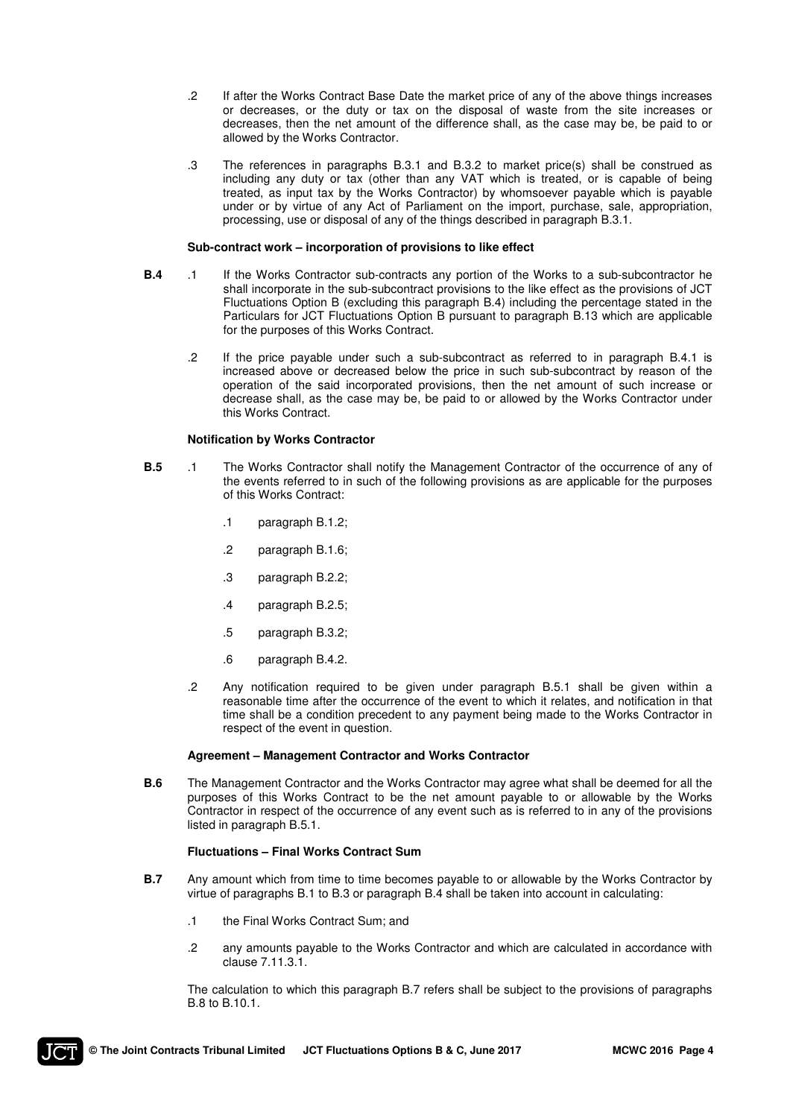- .2 If after the Works Contract Base Date the market price of any of the above things increases or decreases, or the duty or tax on the disposal of waste from the site increases or decreases, then the net amount of the difference shall, as the case may be, be paid to or allowed by the Works Contractor.
- .3 The references in paragraphs B.3.1 and B.3.2 to market price(s) shall be construed as including any duty or tax (other than any VAT which is treated, or is capable of being treated, as input tax by the Works Contractor) by whomsoever payable which is payable under or by virtue of any Act of Parliament on the import, purchase, sale, appropriation, processing, use or disposal of any of the things described in paragraph B.3.1.

#### **Sub-contract work – incorporation of provisions to like effect**

- **B.4** .1 If the Works Contractor sub-contracts any portion of the Works to a sub-subcontractor he shall incorporate in the sub-subcontract provisions to the like effect as the provisions of JCT Fluctuations Option B (excluding this paragraph B.4) including the percentage stated in the Particulars for JCT Fluctuations Option B pursuant to paragraph B.13 which are applicable for the purposes of this Works Contract.
	- .2 If the price payable under such a sub-subcontract as referred to in paragraph B.4.1 is increased above or decreased below the price in such sub-subcontract by reason of the operation of the said incorporated provisions, then the net amount of such increase or decrease shall, as the case may be, be paid to or allowed by the Works Contractor under this Works Contract.

#### **Notification by Works Contractor**

- **B.5** .1 The Works Contractor shall notify the Management Contractor of the occurrence of any of the events referred to in such of the following provisions as are applicable for the purposes of this Works Contract:
	- .1 paragraph B.1.2;
	- .2 paragraph B.1.6;
	- .3 paragraph B.2.2;
	- .4 paragraph B.2.5;
	- .5 paragraph B.3.2;
	- .6 paragraph B.4.2.
	- .2 Any notification required to be given under paragraph B.5.1 shall be given within a reasonable time after the occurrence of the event to which it relates, and notification in that time shall be a condition precedent to any payment being made to the Works Contractor in respect of the event in question.

#### **Agreement – Management Contractor and Works Contractor**

**B.6** The Management Contractor and the Works Contractor may agree what shall be deemed for all the purposes of this Works Contract to be the net amount payable to or allowable by the Works Contractor in respect of the occurrence of any event such as is referred to in any of the provisions listed in paragraph B.5.1.

#### **Fluctuations – Final Works Contract Sum**

- **B.7** Any amount which from time to time becomes payable to or allowable by the Works Contractor by virtue of paragraphs B.1 to B.3 or paragraph B.4 shall be taken into account in calculating:
	- .1 the Final Works Contract Sum; and
	- .2 any amounts payable to the Works Contractor and which are calculated in accordance with clause 7.11.3.1.

 The calculation to which this paragraph B.7 refers shall be subject to the provisions of paragraphs B.8 to B.10.1.

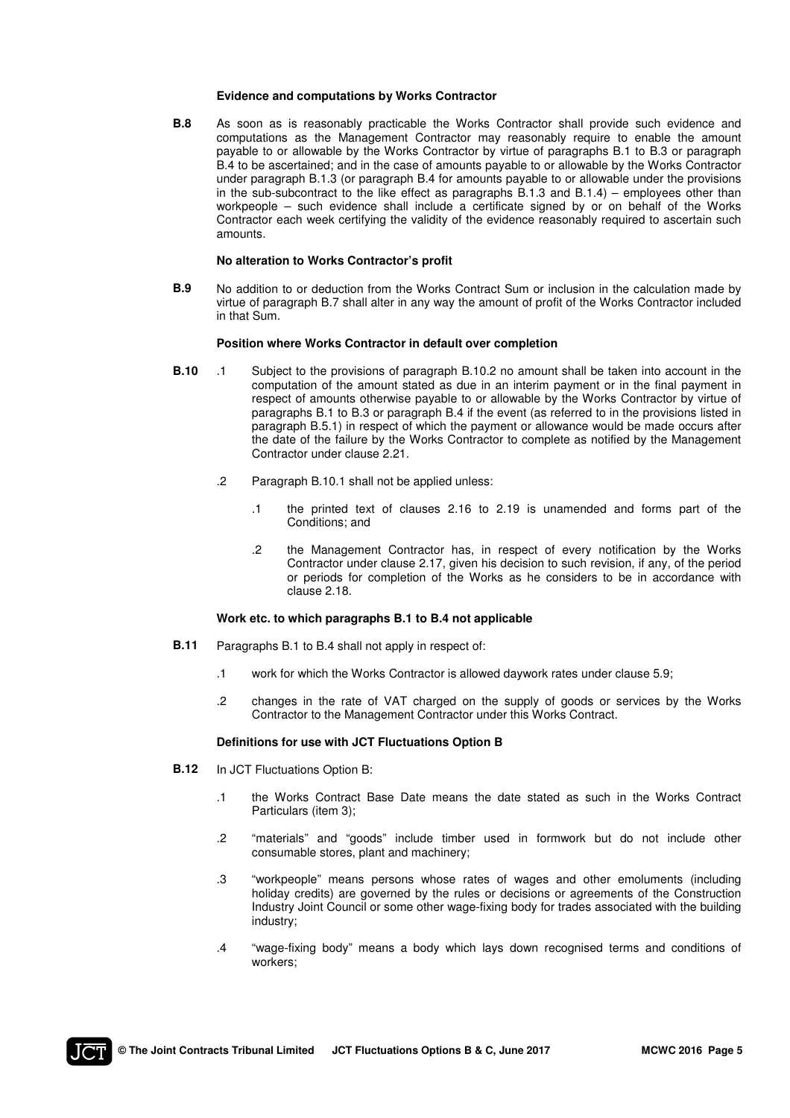#### **Evidence and computations by Works Contractor**

**B.8** As soon as is reasonably practicable the Works Contractor shall provide such evidence and computations as the Management Contractor may reasonably require to enable the amount payable to or allowable by the Works Contractor by virtue of paragraphs B.1 to B.3 or paragraph B.4 to be ascertained; and in the case of amounts payable to or allowable by the Works Contractor under paragraph B.1.3 (or paragraph B.4 for amounts payable to or allowable under the provisions in the sub-subcontract to the like effect as paragraphs B.1.3 and B.1.4) – employees other than workpeople – such evidence shall include a certificate signed by or on behalf of the Works Contractor each week certifying the validity of the evidence reasonably required to ascertain such amounts.

#### **No alteration to Works Contractor's profit**

**B.9** No addition to or deduction from the Works Contract Sum or inclusion in the calculation made by virtue of paragraph B.7 shall alter in any way the amount of profit of the Works Contractor included in that Sum.

#### **Position where Works Contractor in default over completion**

- **B.10** .1 Subject to the provisions of paragraph B.10.2 no amount shall be taken into account in the computation of the amount stated as due in an interim payment or in the final payment in respect of amounts otherwise payable to or allowable by the Works Contractor by virtue of paragraphs B.1 to B.3 or paragraph B.4 if the event (as referred to in the provisions listed in paragraph B.5.1) in respect of which the payment or allowance would be made occurs after the date of the failure by the Works Contractor to complete as notified by the Management Contractor under clause 2.21.
	- .2 Paragraph B.10.1 shall not be applied unless:
		- .1 the printed text of clauses 2.16 to 2.19 is unamended and forms part of the Conditions; and
		- .2 the Management Contractor has, in respect of every notification by the Works Contractor under clause 2.17, given his decision to such revision, if any, of the period or periods for completion of the Works as he considers to be in accordance with clause 2.18.

#### **Work etc. to which paragraphs B.1 to B.4 not applicable**

- **B.11** Paragraphs B.1 to B.4 shall not apply in respect of:
	- .1 work for which the Works Contractor is allowed daywork rates under clause 5.9;
	- .2 changes in the rate of VAT charged on the supply of goods or services by the Works Contractor to the Management Contractor under this Works Contract.

#### **Definitions for use with JCT Fluctuations Option B**

- **B.12** In JCT Fluctuations Option B:
	- .1 the Works Contract Base Date means the date stated as such in the Works Contract Particulars (item 3);
	- .2 "materials" and "goods" include timber used in formwork but do not include other consumable stores, plant and machinery;
	- .3 "workpeople" means persons whose rates of wages and other emoluments (including holiday credits) are governed by the rules or decisions or agreements of the Construction Industry Joint Council or some other wage-fixing body for trades associated with the building industry;
	- .4 "wage-fixing body" means a body which lays down recognised terms and conditions of workers;

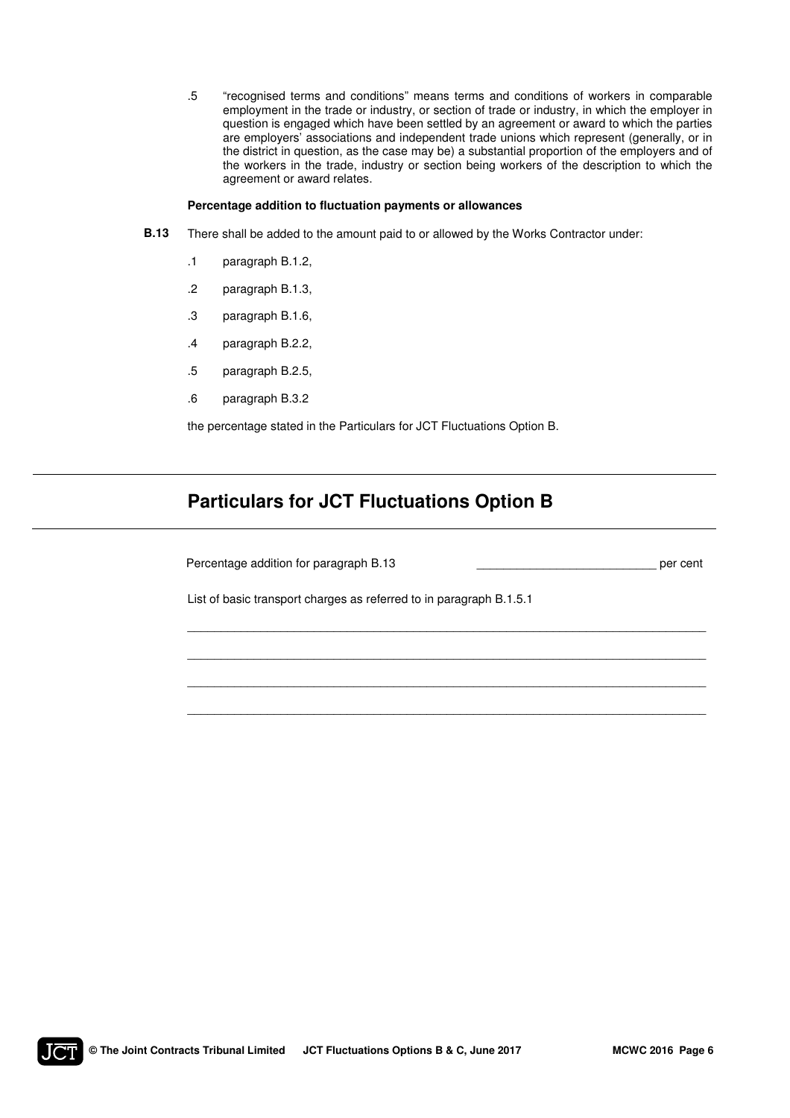.5 "recognised terms and conditions" means terms and conditions of workers in comparable employment in the trade or industry, or section of trade or industry, in which the employer in question is engaged which have been settled by an agreement or award to which the parties are employers' associations and independent trade unions which represent (generally, or in the district in question, as the case may be) a substantial proportion of the employers and of the workers in the trade, industry or section being workers of the description to which the agreement or award relates.

#### **Percentage addition to fluctuation payments or allowances**

- **B.13** There shall be added to the amount paid to or allowed by the Works Contractor under:
	- .1 paragraph B.1.2,
	- .2 paragraph B.1.3,
	- .3 paragraph B.1.6,
	- .4 paragraph B.2.2,
	- .5 paragraph B.2.5,
	- .6 paragraph B.3.2

the percentage stated in the Particulars for JCT Fluctuations Option B.

# **Particulars for JCT Fluctuations Option B**

Percentage addition for paragraph B.13 \_\_\_\_\_\_\_\_\_\_\_\_\_\_\_\_\_\_\_\_\_\_\_\_\_\_\_ per cent

List of basic transport charges as referred to in paragraph B.1.5.1

\_\_\_\_\_\_\_\_\_\_\_\_\_\_\_\_\_\_\_\_\_\_\_\_\_\_\_\_\_\_\_\_\_\_\_\_\_\_\_\_\_\_\_\_\_\_\_\_\_\_\_\_\_\_\_\_\_\_\_\_\_\_\_\_\_\_\_\_\_\_\_\_\_\_\_\_\_\_

\_\_\_\_\_\_\_\_\_\_\_\_\_\_\_\_\_\_\_\_\_\_\_\_\_\_\_\_\_\_\_\_\_\_\_\_\_\_\_\_\_\_\_\_\_\_\_\_\_\_\_\_\_\_\_\_\_\_\_\_\_\_\_\_\_\_\_\_\_\_\_\_\_\_\_\_\_\_

\_\_\_\_\_\_\_\_\_\_\_\_\_\_\_\_\_\_\_\_\_\_\_\_\_\_\_\_\_\_\_\_\_\_\_\_\_\_\_\_\_\_\_\_\_\_\_\_\_\_\_\_\_\_\_\_\_\_\_\_\_\_\_\_\_\_\_\_\_\_\_\_\_\_\_\_\_\_

\_\_\_\_\_\_\_\_\_\_\_\_\_\_\_\_\_\_\_\_\_\_\_\_\_\_\_\_\_\_\_\_\_\_\_\_\_\_\_\_\_\_\_\_\_\_\_\_\_\_\_\_\_\_\_\_\_\_\_\_\_\_\_\_\_\_\_\_\_\_\_\_\_\_\_\_\_\_

 $\mathbf{I}$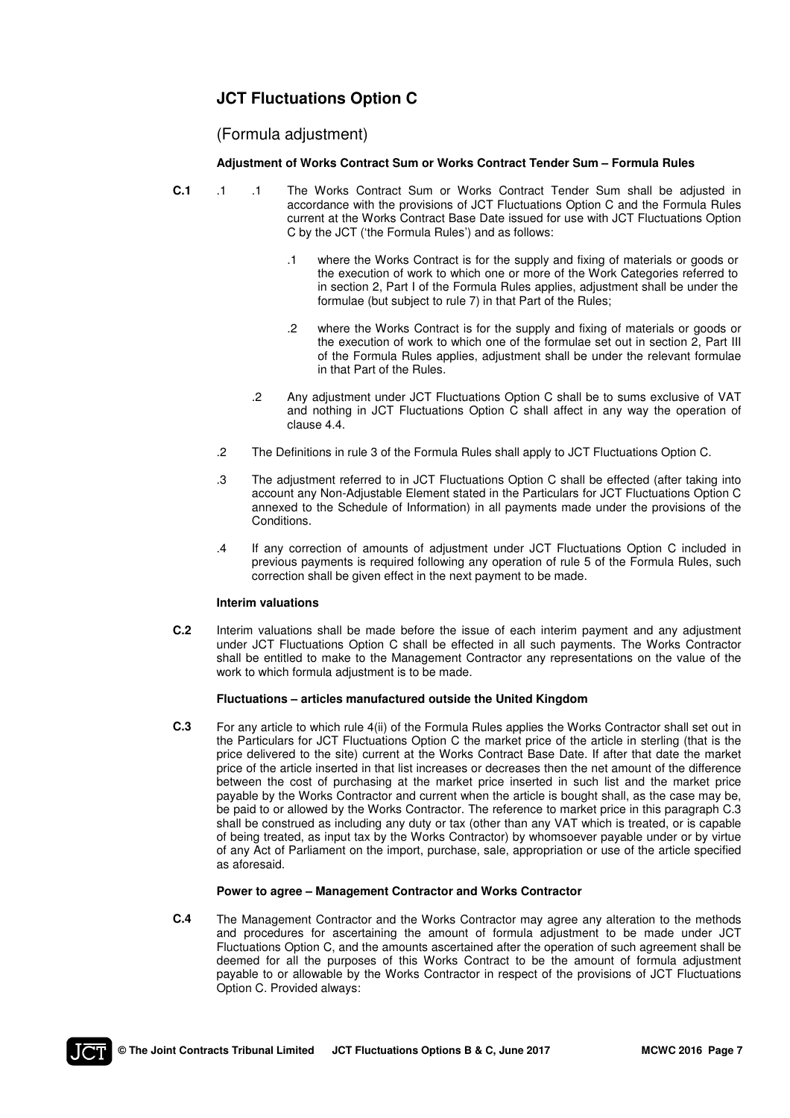# **JCT Fluctuations Option C**

# (Formula adjustment)

# **Adjustment of Works Contract Sum or Works Contract Tender Sum – Formula Rules**

- **C.1** .1 .1 The Works Contract Sum or Works Contract Tender Sum shall be adjusted in accordance with the provisions of JCT Fluctuations Option C and the Formula Rules current at the Works Contract Base Date issued for use with JCT Fluctuations Option C by the JCT ('the Formula Rules') and as follows:
	- .1 where the Works Contract is for the supply and fixing of materials or goods or the execution of work to which one or more of the Work Categories referred to in section 2, Part I of the Formula Rules applies, adjustment shall be under the formulae (but subject to rule 7) in that Part of the Rules;
	- .2 where the Works Contract is for the supply and fixing of materials or goods or the execution of work to which one of the formulae set out in section 2, Part III of the Formula Rules applies, adjustment shall be under the relevant formulae in that Part of the Rules.
	- .2 Any adjustment under JCT Fluctuations Option C shall be to sums exclusive of VAT and nothing in JCT Fluctuations Option C shall affect in any way the operation of clause 4.4.
	- .2 The Definitions in rule 3 of the Formula Rules shall apply to JCT Fluctuations Option C.
	- .3 The adjustment referred to in JCT Fluctuations Option C shall be effected (after taking into account any Non-Adjustable Element stated in the Particulars for JCT Fluctuations Option C annexed to the Schedule of Information) in all payments made under the provisions of the Conditions.
	- .4 If any correction of amounts of adjustment under JCT Fluctuations Option C included in previous payments is required following any operation of rule 5 of the Formula Rules, such correction shall be given effect in the next payment to be made.

### **Interim valuations**

**C.2** Interim valuations shall be made before the issue of each interim payment and any adjustment under JCT Fluctuations Option C shall be effected in all such payments. The Works Contractor shall be entitled to make to the Management Contractor any representations on the value of the work to which formula adjustment is to be made.

# **Fluctuations – articles manufactured outside the United Kingdom**

**C.3** For any article to which rule 4(ii) of the Formula Rules applies the Works Contractor shall set out in the Particulars for JCT Fluctuations Option C the market price of the article in sterling (that is the price delivered to the site) current at the Works Contract Base Date. If after that date the market price of the article inserted in that list increases or decreases then the net amount of the difference between the cost of purchasing at the market price inserted in such list and the market price payable by the Works Contractor and current when the article is bought shall, as the case may be, be paid to or allowed by the Works Contractor. The reference to market price in this paragraph C.3 shall be construed as including any duty or tax (other than any VAT which is treated, or is capable of being treated, as input tax by the Works Contractor) by whomsoever payable under or by virtue of any Act of Parliament on the import, purchase, sale, appropriation or use of the article specified as aforesaid.

### **Power to agree – Management Contractor and Works Contractor**

**C.4** The Management Contractor and the Works Contractor may agree any alteration to the methods and procedures for ascertaining the amount of formula adjustment to be made under JCT Fluctuations Option C, and the amounts ascertained after the operation of such agreement shall be deemed for all the purposes of this Works Contract to be the amount of formula adjustment payable to or allowable by the Works Contractor in respect of the provisions of JCT Fluctuations Option C. Provided always:

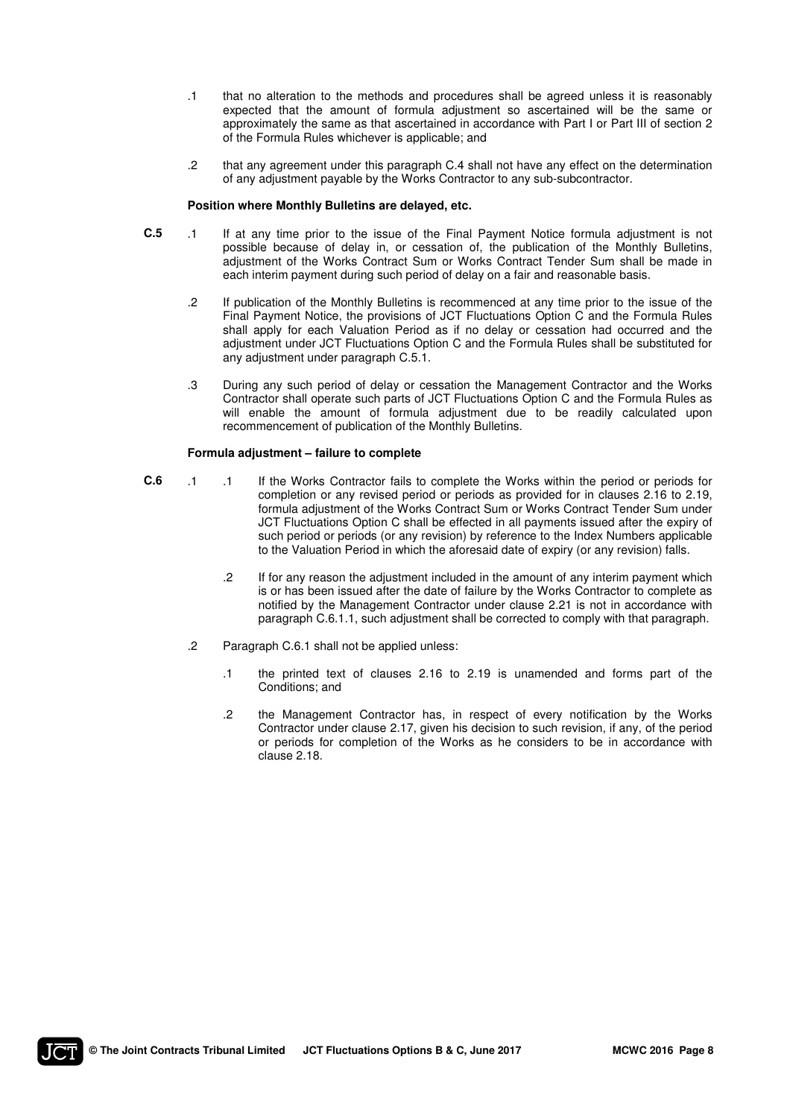- .1 that no alteration to the methods and procedures shall be agreed unless it is reasonably expected that the amount of formula adjustment so ascertained will be the same or approximately the same as that ascertained in accordance with Part I or Part III of section 2 of the Formula Rules whichever is applicable; and
- .2 that any agreement under this paragraph C.4 shall not have any effect on the determination of any adjustment payable by the Works Contractor to any sub-subcontractor.

#### **Position where Monthly Bulletins are delayed, etc.**

- **C.5** .1 If at any time prior to the issue of the Final Payment Notice formula adjustment is not possible because of delay in, or cessation of, the publication of the Monthly Bulletins, adjustment of the Works Contract Sum or Works Contract Tender Sum shall be made in each interim payment during such period of delay on a fair and reasonable basis.
	- .2 If publication of the Monthly Bulletins is recommenced at any time prior to the issue of the Final Payment Notice, the provisions of JCT Fluctuations Option C and the Formula Rules shall apply for each Valuation Period as if no delay or cessation had occurred and the adjustment under JCT Fluctuations Option C and the Formula Rules shall be substituted for any adjustment under paragraph C.5.1.
	- .3 During any such period of delay or cessation the Management Contractor and the Works Contractor shall operate such parts of JCT Fluctuations Option C and the Formula Rules as will enable the amount of formula adjustment due to be readily calculated upon recommencement of publication of the Monthly Bulletins.

### **Formula adjustment – failure to complete**

- **C.6** .1 .1 If the Works Contractor fails to complete the Works within the period or periods for completion or any revised period or periods as provided for in clauses 2.16 to 2.19, formula adjustment of the Works Contract Sum or Works Contract Tender Sum under JCT Fluctuations Option C shall be effected in all payments issued after the expiry of such period or periods (or any revision) by reference to the Index Numbers applicable to the Valuation Period in which the aforesaid date of expiry (or any revision) falls.
	- .2 If for any reason the adjustment included in the amount of any interim payment which is or has been issued after the date of failure by the Works Contractor to complete as notified by the Management Contractor under clause 2.21 is not in accordance with paragraph C.6.1.1, such adjustment shall be corrected to comply with that paragraph.
	- .2 Paragraph C.6.1 shall not be applied unless:
		- .1 the printed text of clauses 2.16 to 2.19 is unamended and forms part of the Conditions; and
		- .2 the Management Contractor has, in respect of every notification by the Works Contractor under clause 2.17, given his decision to such revision, if any, of the period or periods for completion of the Works as he considers to be in accordance with clause 2.18.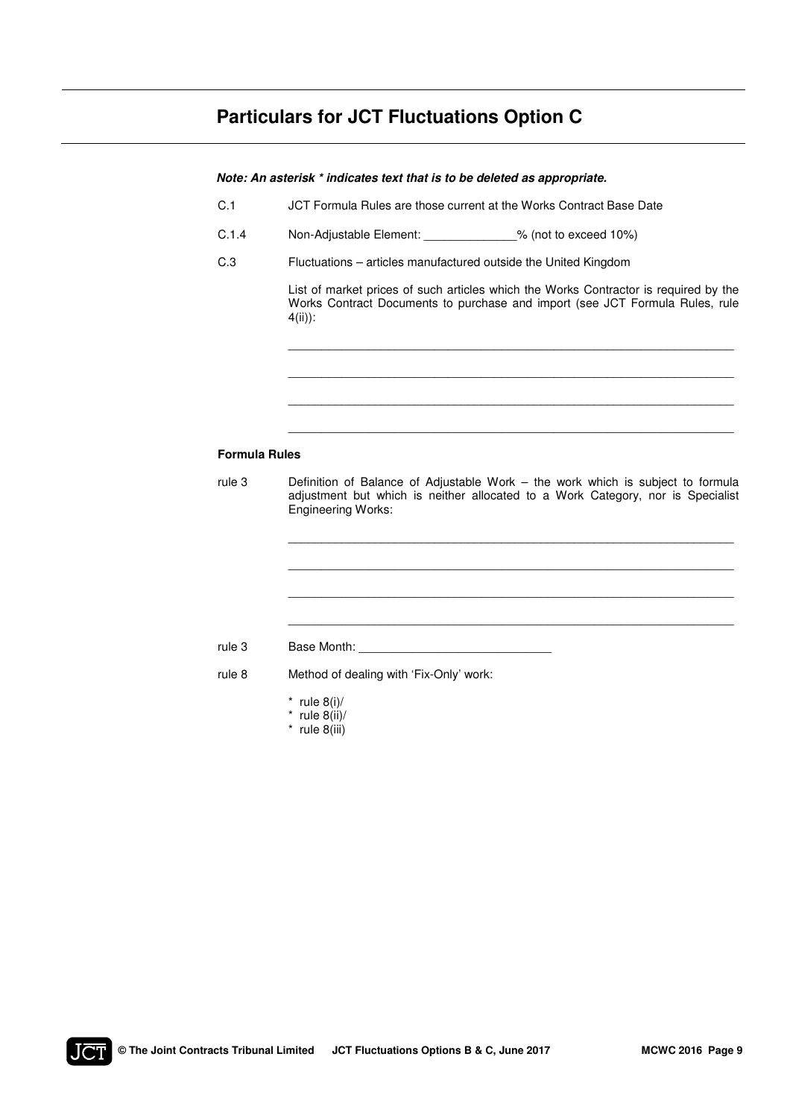# **Particulars for JCT Fluctuations Option C**

|                      | Note: An asterisk * indicates text that is to be deleted as appropriate.                                                                                                                        |  |  |  |  |
|----------------------|-------------------------------------------------------------------------------------------------------------------------------------------------------------------------------------------------|--|--|--|--|
| C.1                  | JCT Formula Rules are those current at the Works Contract Base Date                                                                                                                             |  |  |  |  |
| C.1.4                | Non-Adjustable Element: _____________% (not to exceed 10%)                                                                                                                                      |  |  |  |  |
| C.3                  | Fluctuations - articles manufactured outside the United Kingdom                                                                                                                                 |  |  |  |  |
|                      | List of market prices of such articles which the Works Contractor is required by the<br>Works Contract Documents to purchase and import (see JCT Formula Rules, rule<br>$4(ii)$ :               |  |  |  |  |
|                      |                                                                                                                                                                                                 |  |  |  |  |
| <b>Formula Rules</b> |                                                                                                                                                                                                 |  |  |  |  |
| rule 3               | Definition of Balance of Adjustable Work - the work which is subject to formula<br>adjustment but which is neither allocated to a Work Category, nor is Specialist<br><b>Engineering Works:</b> |  |  |  |  |
|                      |                                                                                                                                                                                                 |  |  |  |  |
| rule 3               |                                                                                                                                                                                                 |  |  |  |  |
| rule 8               | Method of dealing with 'Fix-Only' work:                                                                                                                                                         |  |  |  |  |
|                      | * rule $8(i)$ /<br>* rule $8(ii)/$<br>$*$ rule 8(iii)                                                                                                                                           |  |  |  |  |